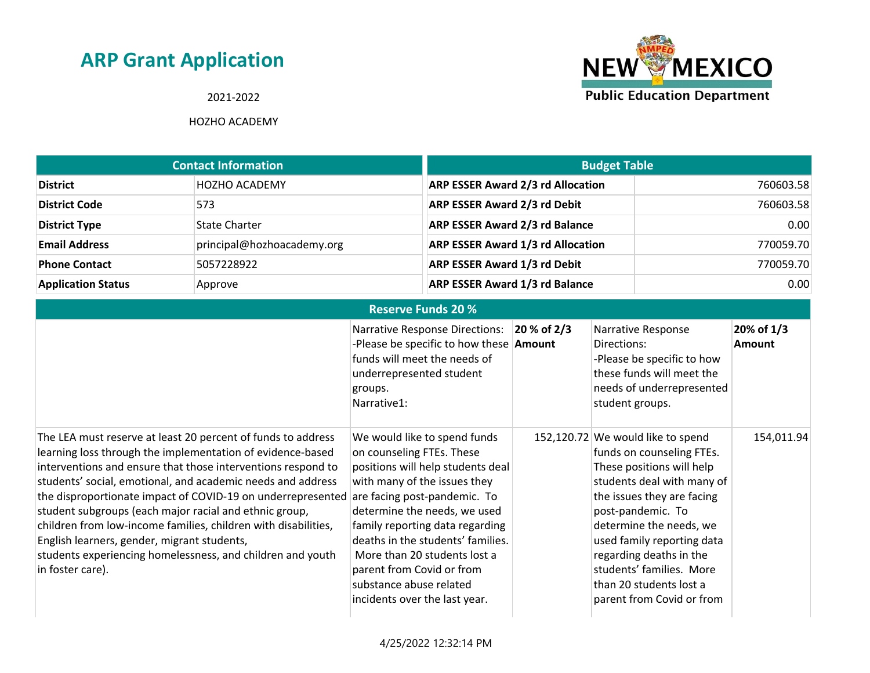### 2021-2022



| <b>Contact Information</b> |                            | <b>Budget Table</b>                      |           |
|----------------------------|----------------------------|------------------------------------------|-----------|
| <b>District</b>            | <b>HOZHO ACADEMY</b>       | <b>ARP ESSER Award 2/3 rd Allocation</b> | 760603.58 |
| <b>District Code</b>       | 573                        | <b>ARP ESSER Award 2/3 rd Debit</b>      | 760603.58 |
| <b>District Type</b>       | <b>State Charter</b>       | <b>ARP ESSER Award 2/3 rd Balance</b>    | 0.00      |
| <b>Email Address</b>       | principal@hozhoacademy.org | <b>ARP ESSER Award 1/3 rd Allocation</b> | 770059.70 |
| <b>Phone Contact</b>       | 5057228922                 | <b>ARP ESSER Award 1/3 rd Debit</b>      | 770059.70 |
| <b>Application Status</b>  | Approve                    | <b>ARP ESSER Award 1/3 rd Balance</b>    | 0.00      |

|                                                                                                                                                                                                                                                                                                                                                                                                                                                                                                                                                                                       | <b>Reserve Funds 20 %</b>                                                                                                                                                                                                                                                                                                                                                                       |             |                                                                                                                                                                                                                                                                                                                                                      |                      |
|---------------------------------------------------------------------------------------------------------------------------------------------------------------------------------------------------------------------------------------------------------------------------------------------------------------------------------------------------------------------------------------------------------------------------------------------------------------------------------------------------------------------------------------------------------------------------------------|-------------------------------------------------------------------------------------------------------------------------------------------------------------------------------------------------------------------------------------------------------------------------------------------------------------------------------------------------------------------------------------------------|-------------|------------------------------------------------------------------------------------------------------------------------------------------------------------------------------------------------------------------------------------------------------------------------------------------------------------------------------------------------------|----------------------|
|                                                                                                                                                                                                                                                                                                                                                                                                                                                                                                                                                                                       | <b>Narrative Response Directions:</b><br>-Please be specific to how these <b>Amount</b><br>funds will meet the needs of<br>underrepresented student<br>groups.<br>Narrative1:                                                                                                                                                                                                                   | 20 % of 2/3 | Narrative Response<br>Directions:<br>-Please be specific to how<br>these funds will meet the<br>needs of underrepresented<br>student groups.                                                                                                                                                                                                         | 20% of 1/3<br>Amount |
| The LEA must reserve at least 20 percent of funds to address<br>learning loss through the implementation of evidence-based<br>interventions and ensure that those interventions respond to<br>students' social, emotional, and academic needs and address<br>the disproportionate impact of COVID-19 on underrepresented<br>student subgroups (each major racial and ethnic group,<br>children from low-income families, children with disabilities,<br>English learners, gender, migrant students,<br>students experiencing homelessness, and children and youth<br>in foster care). | We would like to spend funds<br>on counseling FTEs. These<br>positions will help students deal<br>with many of the issues they<br>are facing post-pandemic. To<br>determine the needs, we used<br>family reporting data regarding<br>deaths in the students' families.<br>More than 20 students lost a<br>parent from Covid or from<br>substance abuse related<br>incidents over the last year. |             | 152,120.72 We would like to spend<br>funds on counseling FTEs.<br>These positions will help<br>students deal with many of<br>the issues they are facing<br>post-pandemic. To<br>determine the needs, we<br>used family reporting data<br>regarding deaths in the<br>students' families. More<br>than 20 students lost a<br>parent from Covid or from | 154,011.94           |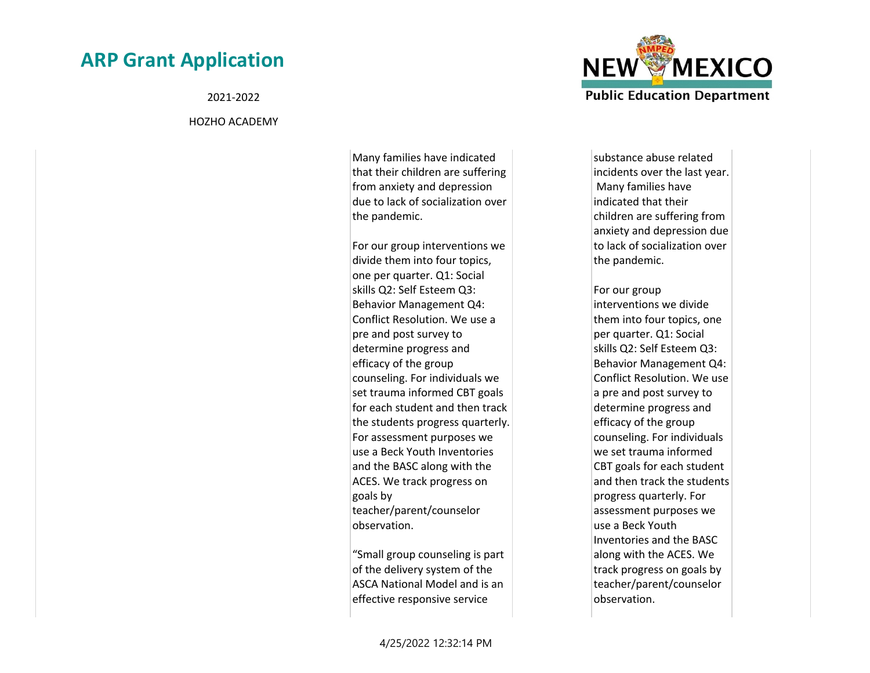2021-2022

#### HOZHO ACADEMY

Many families have indicated that their children are suffering from anxiety and depression due to lack of socialization over the pandemic.

For our group interventions we divide them into four topics, one per quarter. Q1: Social skills Q2: Self Esteem Q3: Behavior Management Q4: Conflict Resolution. We use a pre and post survey to determine progress and efficacy of the group counseling. For individuals we set trauma informed CBT goals for each student and then track the students progress quarterly. For assessment purposes we use a Beck Youth Inventories and the BASC along with the ACES. We track progress on goals by teacher/parent/counselor observation.

"Small group counseling is part of the delivery system of the ASCA National Model and is an effective responsive service



substance abuse related incidents over the last year. Many families have indicated that their children are suffering from anxiety and depression due to lack of socialization over the pandemic.

For our group interventions we divide them into four topics, one per quarter. Q1: Social skills Q2: Self Esteem Q3: Behavior Management Q4: Conflict Resolution. We use a pre and post survey to determine progress and efficacy of the group counseling. For individuals we set trauma informed CBT goals for each student and then track the students progress quarterly. For assessment purposes we use a Beck Youth Inventories and the BASC along with the ACES. We track progress on goals by teacher/parent/counselor observation.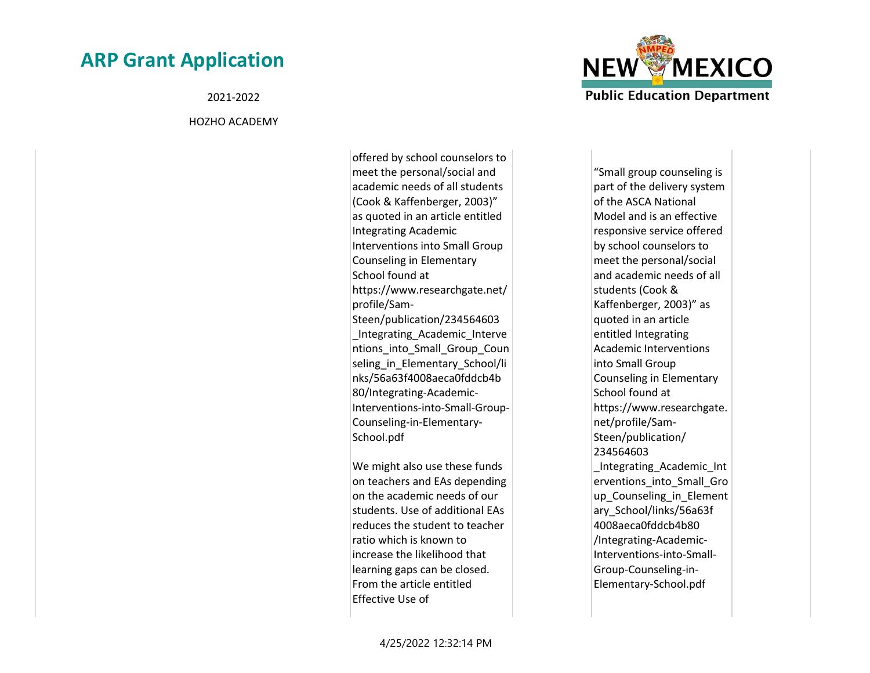2021-2022

#### HOZHO ACADEMY

offered by school counselors to meet the personal/social and academic needs of all students (Cook & Kaffenberger, 2003)" as quoted in an article entitled Integrating Academic Interventions into Small Group Counseling in Elementary School found at https://www.researchgate.net/ profile/Sam-Steen/publication/234564603 \_Integrating\_Academic\_Interve ntions\_into\_Small\_Group\_Coun seling in Elementary School/li nks/56a63f4008aeca0fddcb4b 80/Integrating-Academic-Interventions-into-Small-Group-Counseling-in-Elementary-School.pdf

We might also use these funds on teachers and EAs depending on the academic needs of our students. Use of additional EAs reduces the student to teacher ratio which is known to increase the likelihood that learning gaps can be closed. From the article entitled Effective Use of



"Small group counseling is part of the delivery system of the ASCA National Model and is an effective responsive service offered by school counselors to meet the personal/social and academic needs of all students (Cook & Kaffenberger, 2003)" as quoted in an article entitled Integrating Academic Interventions into Small Group Counseling in Elementary School found at https://www.researchgate. net/profile/Sam-Steen/publication/ 234564603 \_Integrating\_Academic\_Int erventions into Small Gro up Counseling in Element ary\_School/links/56a63f 4008aeca0fddcb4b80 /Integrating-Academic-Interventions-into-Small-Group-Counseling-in-Elementary-School.pdf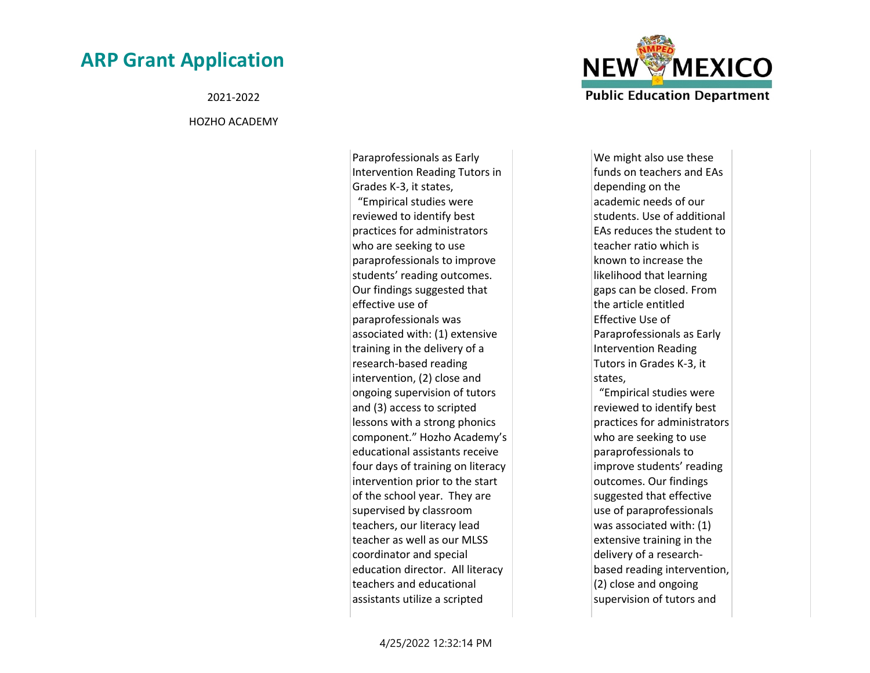2021-2022

#### HOZHO ACADEMY

Paraprofessionals as Early Intervention Reading Tutors in Grades K-3, it states, "Empirical studies were reviewed to identify best practices for administrators who are seeking to use paraprofessionals to improve students' reading outcomes. Our findings suggested that effective use of paraprofessionals was associated with: (1) extensive training in the delivery of a research-based reading intervention, (2) close and ongoing supervision of tutors and (3) access to scripted lessons with a strong phonics component." Hozho Academy's educational assistants receive four days of training on literacy intervention prior to the start of the school year. They are supervised by classroom teachers, our literacy lead teacher as well as our MLSS coordinator and special education director. All literacy teachers and educational assistants utilize a scripted



We might also use these funds on teachers and EAs depending on the academic needs of our students. Use of additional EAs reduces the student to teacher ratio which is known to increase the likelihood that learning gaps can be closed. From the article entitled Effective Use of Paraprofessionals as Early Intervention Reading Tutors in Grades K-3, it states, "Empirical studies were reviewed to identify best practices for administrators who are seeking to use paraprofessionals to improve students' reading outcomes. Our findings suggested that effective use of paraprofessionals was associated with: (1) extensive training in the delivery of a researchbased reading intervention, (2) close and ongoing supervision of tutors and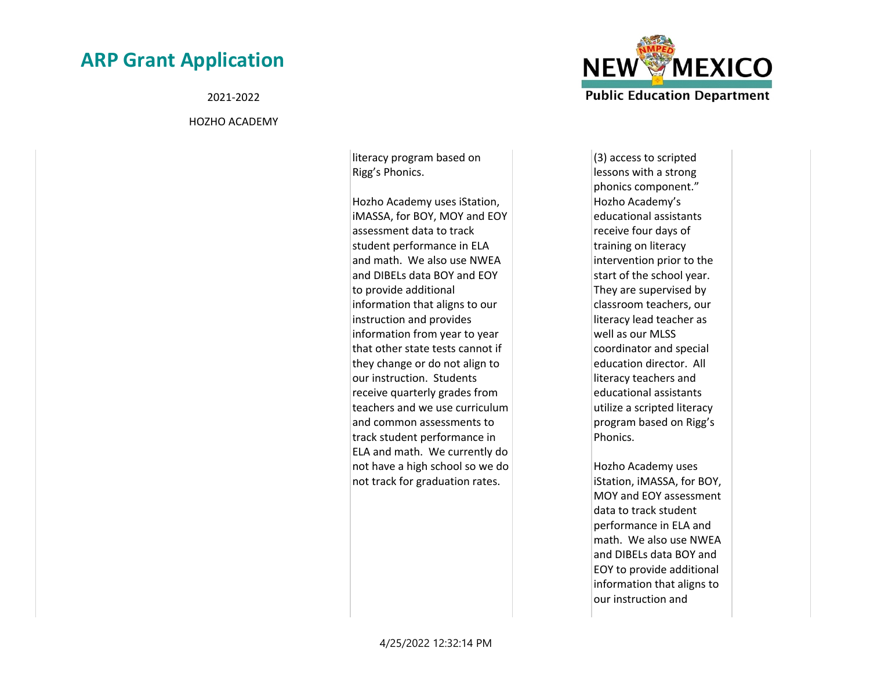2021-2022

HOZHO ACADEMY

literacy program based on Rigg's Phonics.

Hozho Academy uses iStation, iMASSA, for BOY, MOY and EOY assessment data to track student performance in ELA and math. We also use NWEA and DIBELs data BOY and EOY to provide additional information that aligns to our instruction and provides information from year to year that other state tests cannot if they change or do not align to our instruction. Students receive quarterly grades from teachers and we use curriculum and common assessments to track student performance in ELA and math. We currently do not have a high school so we do not track for graduation rates.



(3) access to scripted lessons with a strong phonics component." Hozho Academy's educational assistants receive four days of training on literacy intervention prior to the start of the school year. They are supervised by classroom teachers, our literacy lead teacher as well as our MLSS coordinator and special education director. All literacy teachers and educational assistants utilize a scripted literacy program based on Rigg's Phonics.

Hozho Academy uses iStation, iMASSA, for BOY, MOY and EOY assessment data to track student performance in ELA and math. We also use NWEA and DIBELs data BOY and EOY to provide additional information that aligns to our instruction and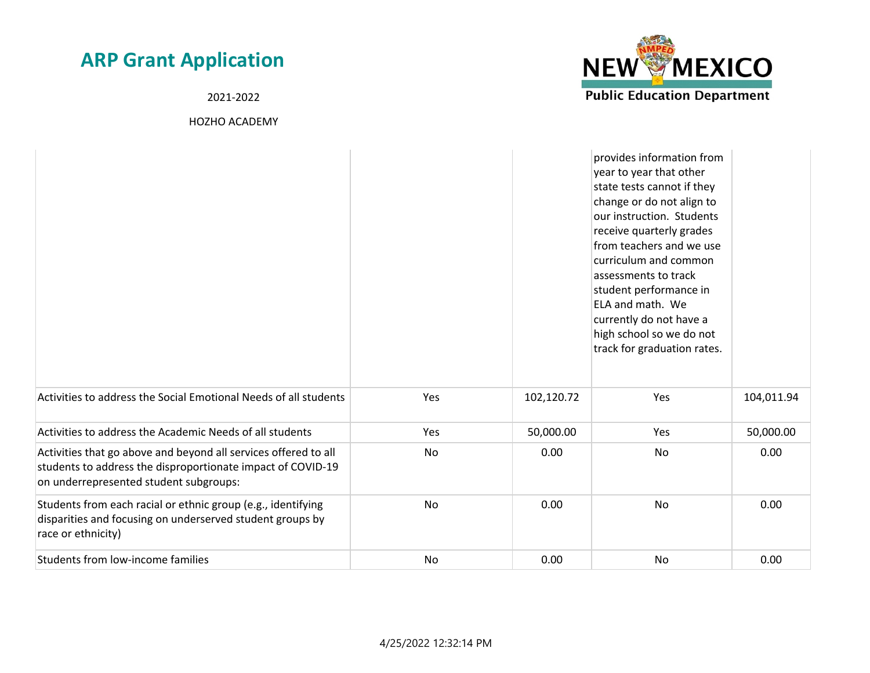2021-2022



|                                                                                                                                                                          |           |            | provides information from<br>year to year that other<br>state tests cannot if they<br>change or do not align to<br>our instruction. Students<br>receive quarterly grades<br>from teachers and we use<br>curriculum and common<br>assessments to track<br>student performance in<br>ELA and math. We<br>currently do not have a<br>high school so we do not<br>track for graduation rates. |            |
|--------------------------------------------------------------------------------------------------------------------------------------------------------------------------|-----------|------------|-------------------------------------------------------------------------------------------------------------------------------------------------------------------------------------------------------------------------------------------------------------------------------------------------------------------------------------------------------------------------------------------|------------|
| Activities to address the Social Emotional Needs of all students                                                                                                         | Yes       | 102,120.72 | Yes                                                                                                                                                                                                                                                                                                                                                                                       | 104,011.94 |
| Activities to address the Academic Needs of all students                                                                                                                 | Yes       | 50,000.00  | Yes                                                                                                                                                                                                                                                                                                                                                                                       | 50,000.00  |
| Activities that go above and beyond all services offered to all<br>students to address the disproportionate impact of COVID-19<br>on underrepresented student subgroups: | No        | 0.00       | No                                                                                                                                                                                                                                                                                                                                                                                        | 0.00       |
| Students from each racial or ethnic group (e.g., identifying<br>disparities and focusing on underserved student groups by<br>race or ethnicity)                          | No        | 0.00       | No                                                                                                                                                                                                                                                                                                                                                                                        | 0.00       |
| Students from low-income families                                                                                                                                        | <b>No</b> | 0.00       | No                                                                                                                                                                                                                                                                                                                                                                                        | 0.00       |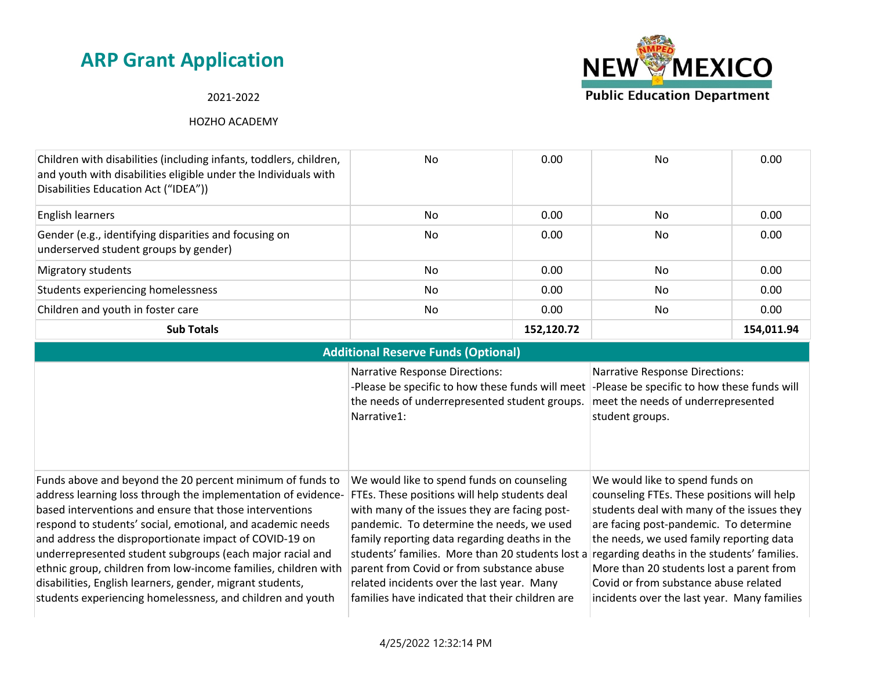### 2021-2022



| <b>Additional Reserve Funds (Optional)</b>                                                                                                                                                                                                                                                                                                                                                                                                                                                                                                                              |                                                                                                                                                                                                                                                                                                                                                                                                                                                                                          |                                                                                                                                                                                                                                                                                                                                                       |  |  |
|-------------------------------------------------------------------------------------------------------------------------------------------------------------------------------------------------------------------------------------------------------------------------------------------------------------------------------------------------------------------------------------------------------------------------------------------------------------------------------------------------------------------------------------------------------------------------|------------------------------------------------------------------------------------------------------------------------------------------------------------------------------------------------------------------------------------------------------------------------------------------------------------------------------------------------------------------------------------------------------------------------------------------------------------------------------------------|-------------------------------------------------------------------------------------------------------------------------------------------------------------------------------------------------------------------------------------------------------------------------------------------------------------------------------------------------------|--|--|
|                                                                                                                                                                                                                                                                                                                                                                                                                                                                                                                                                                         | <b>Narrative Response Directions:</b><br>-Please be specific to how these funds will meet<br>the needs of underrepresented student groups.<br>Narrative1:                                                                                                                                                                                                                                                                                                                                | <b>Narrative Response Directions:</b><br>-Please be specific to how these funds will<br>meet the needs of underrepresented<br>student groups.                                                                                                                                                                                                         |  |  |
| Funds above and beyond the 20 percent minimum of funds to<br>address learning loss through the implementation of evidence-<br>based interventions and ensure that those interventions<br>respond to students' social, emotional, and academic needs<br>and address the disproportionate impact of COVID-19 on<br>underrepresented student subgroups (each major racial and<br>ethnic group, children from low-income families, children with<br>disabilities, English learners, gender, migrant students,<br>students experiencing homelessness, and children and youth | We would like to spend funds on counseling<br>FTEs. These positions will help students deal<br>with many of the issues they are facing post-<br>pandemic. To determine the needs, we used<br>family reporting data regarding deaths in the<br>students' families. More than 20 students lost a regarding deaths in the students' families.<br>parent from Covid or from substance abuse<br>related incidents over the last year. Many<br>families have indicated that their children are | We would like to spend funds on<br>counseling FTEs. These positions will help<br>students deal with many of the issues they<br>are facing post-pandemic. To determine<br>the needs, we used family reporting data<br>More than 20 students lost a parent from<br>Covid or from substance abuse related<br>incidents over the last year. Many families |  |  |

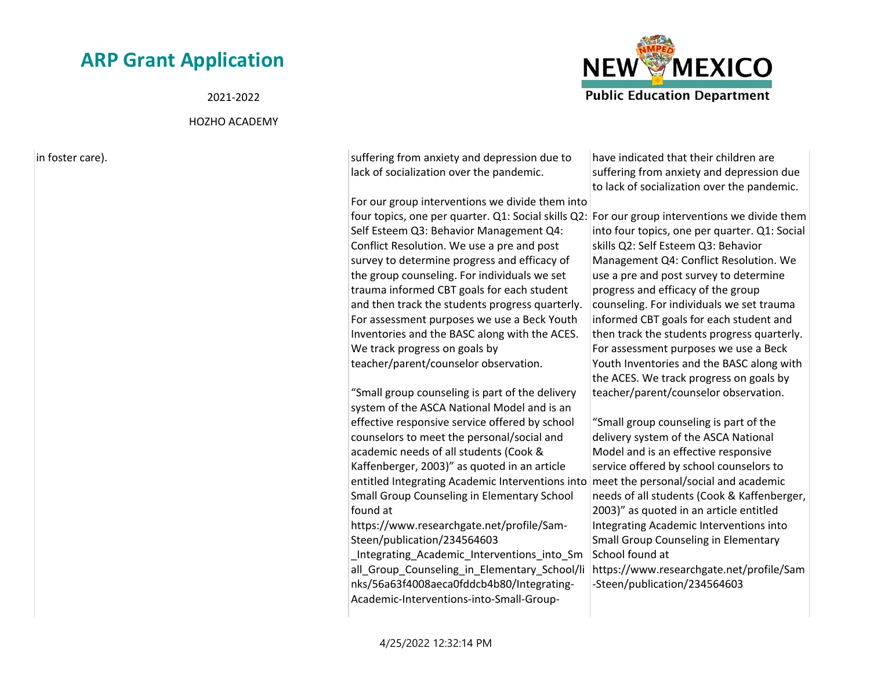2021-2022

#### HOZHO ACADEMY

in foster care). Suffering from anxiety and depression due to suffering from anxiety and depression due to lack of socialization over the pandemic.

> For our group interventions we divide them into four topics, one per quarter. Q1: Social skills Q2: For our group interventions we divide them Self Esteem Q3: Behavior Management Q4: Conflict Resolution. We use a pre and post survey to determine progress and efficacy of the group counseling. For individuals we set trauma informed CBT goals for each student and then track the students progress quarterly. For assessment purposes we use a Beck Youth Inventories and the BASC along with the ACES. We track progress on goals by teacher/parent/counselor observation.

"Small group counseling is part of the delivery system of the ASCA National Model and is an effective responsive service offered by school counselors to meet the personal/social and academic needs of all students (Cook & Kaffenberger, 2003)" as quoted in an article entitled Integrating Academic Interventions into meet the personal/social and academic Small Group Counseling in Elementary School found at

https://www.researchgate.net/profile/Sam-Steen/publication/234564603

\_Integrating\_Academic\_Interventions\_into\_Sm all Group Counseling in Elementary School/li nks/56a63f4008aeca0fddcb4b80/Integrating-Academic-Interventions-into-Small-Group-

have indicated that their children are suffering from anxiety and depression due to lack of socialization over the pandemic.

into four topics, one per quarter. Q1: Social skills Q2: Self Esteem Q3: Behavior Management Q4: Conflict Resolution. We use a pre and post survey to determine progress and efficacy of the group counseling. For individuals we set trauma informed CBT goals for each student and then track the students progress quarterly. For assessment purposes we use a Beck Youth Inventories and the BASC along with the ACES. We track progress on goals by teacher/parent/counselor observation.

"Small group counseling is part of the delivery system of the ASCA National Model and is an effective responsive service offered by school counselors to needs of all students (Cook & Kaffenberger, 2003)" as quoted in an article entitled Integrating Academic Interventions into Small Group Counseling in Elementary School found at

https://www.researchgate.net/profile/Sam -Steen/publication/234564603

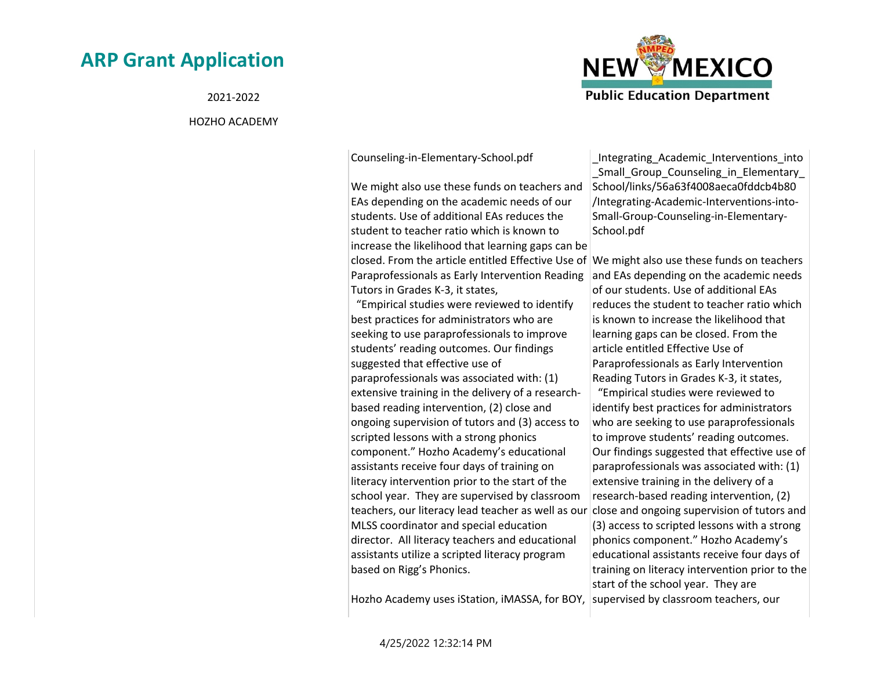2021-2022

#### HOZHO ACADEMY



Counseling-in-Elementary-School.pdf

We might also use these funds on teachers and EAs depending on the academic needs of our students. Use of additional EAs reduces the student to teacher ratio which is known to increase the likelihood that learning gaps can be closed. From the article entitled Effective Use of We might also use these funds on teachers Paraprofessionals as Early Intervention Reading Tutors in Grades K-3, it states, "Empirical studies were reviewed to identify best practices for administrators who are seeking to use paraprofessionals to improve students' reading outcomes. Our findings suggested that effective use of paraprofessionals was associated with: (1) extensive training in the delivery of a researchbased reading intervention, (2) close and ongoing supervision of tutors and (3) access to scripted lessons with a strong phonics component." Hozho Academy's educational assistants receive four days of training on literacy intervention prior to the start of the school year. They are supervised by classroom teachers, our literacy lead teacher as well as our close and ongoing supervision of tutors and MLSS coordinator and special education director. All literacy teachers and educational assistants utilize a scripted literacy program based on Rigg's Phonics.

Hozho Academy uses iStation, iMASSA, for BOY, supervised by classroom teachers, our

\_Integrating\_Academic\_Interventions\_into \_Small\_Group\_Counseling\_in\_Elementary\_ School/links/56a63f4008aeca0fddcb4b80 /Integrating-Academic-Interventions-into-Small-Group-Counseling-in-Elementary-School.pdf

and EAs depending on the academic needs of our students. Use of additional EAs reduces the student to teacher ratio which is known to increase the likelihood that learning gaps can be closed. From the article entitled Effective Use of Paraprofessionals as Early Intervention Reading Tutors in Grades K-3, it states, "Empirical studies were reviewed to identify best practices for administrators who are seeking to use paraprofessionals to improve students' reading outcomes. Our findings suggested that effective use of paraprofessionals was associated with: (1) extensive training in the delivery of a research-based reading intervention, (2) (3) access to scripted lessons with a strong phonics component." Hozho Academy's educational assistants receive four days of training on literacy intervention prior to the start of the school year. They are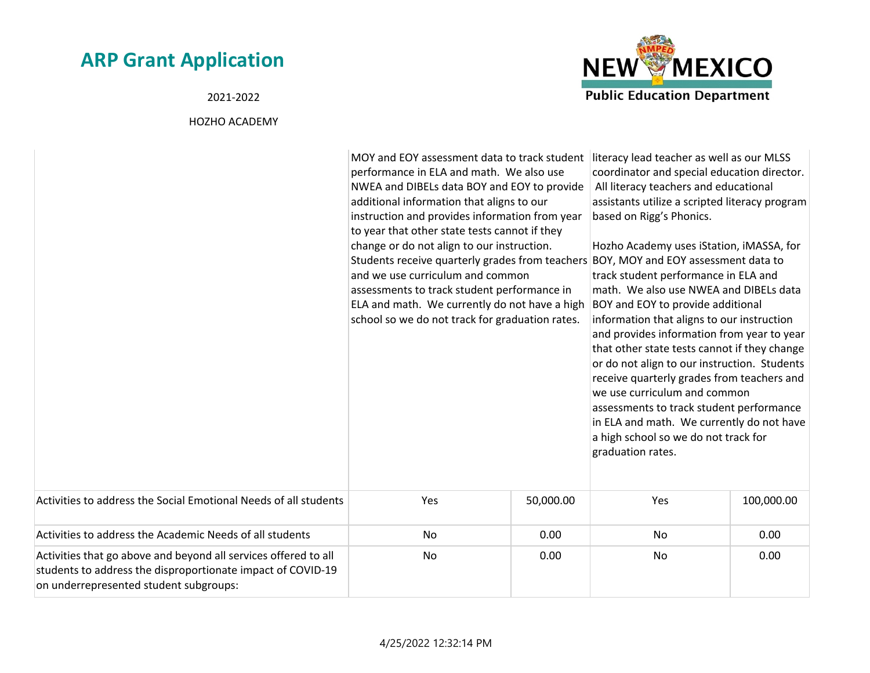2021-2022



|                                                                                                                                                                          | MOY and EOY assessment data to track student literacy lead teacher as well as our MLSS<br>performance in ELA and math. We also use<br>NWEA and DIBELs data BOY and EOY to provide<br>additional information that aligns to our<br>instruction and provides information from year<br>to year that other state tests cannot if they<br>change or do not align to our instruction.<br>Students receive quarterly grades from teachers BOY, MOY and EOY assessment data to<br>and we use curriculum and common<br>assessments to track student performance in<br>ELA and math. We currently do not have a high<br>school so we do not track for graduation rates. |           | coordinator and special education director.<br>All literacy teachers and educational<br>assistants utilize a scripted literacy program<br>based on Rigg's Phonics.<br>Hozho Academy uses iStation, iMASSA, for<br>track student performance in ELA and<br>math. We also use NWEA and DIBELs data<br>BOY and EOY to provide additional<br>information that aligns to our instruction<br>and provides information from year to year<br>that other state tests cannot if they change<br>or do not align to our instruction. Students<br>receive quarterly grades from teachers and<br>we use curriculum and common<br>assessments to track student performance<br>in ELA and math. We currently do not have<br>a high school so we do not track for<br>graduation rates. |            |
|--------------------------------------------------------------------------------------------------------------------------------------------------------------------------|---------------------------------------------------------------------------------------------------------------------------------------------------------------------------------------------------------------------------------------------------------------------------------------------------------------------------------------------------------------------------------------------------------------------------------------------------------------------------------------------------------------------------------------------------------------------------------------------------------------------------------------------------------------|-----------|-----------------------------------------------------------------------------------------------------------------------------------------------------------------------------------------------------------------------------------------------------------------------------------------------------------------------------------------------------------------------------------------------------------------------------------------------------------------------------------------------------------------------------------------------------------------------------------------------------------------------------------------------------------------------------------------------------------------------------------------------------------------------|------------|
| Activities to address the Social Emotional Needs of all students                                                                                                         | Yes                                                                                                                                                                                                                                                                                                                                                                                                                                                                                                                                                                                                                                                           | 50,000.00 | Yes                                                                                                                                                                                                                                                                                                                                                                                                                                                                                                                                                                                                                                                                                                                                                                   | 100,000.00 |
| Activities to address the Academic Needs of all students                                                                                                                 | No                                                                                                                                                                                                                                                                                                                                                                                                                                                                                                                                                                                                                                                            | 0.00      | No                                                                                                                                                                                                                                                                                                                                                                                                                                                                                                                                                                                                                                                                                                                                                                    | 0.00       |
| Activities that go above and beyond all services offered to all<br>students to address the disproportionate impact of COVID-19<br>on underrepresented student subgroups: | No                                                                                                                                                                                                                                                                                                                                                                                                                                                                                                                                                                                                                                                            | 0.00      | No                                                                                                                                                                                                                                                                                                                                                                                                                                                                                                                                                                                                                                                                                                                                                                    | 0.00       |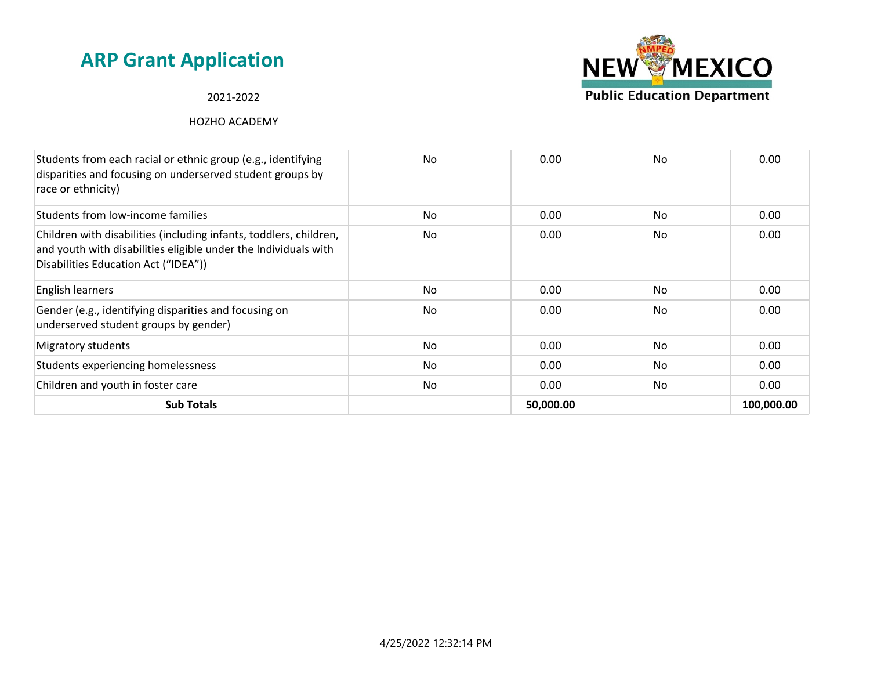#### 2021-2022



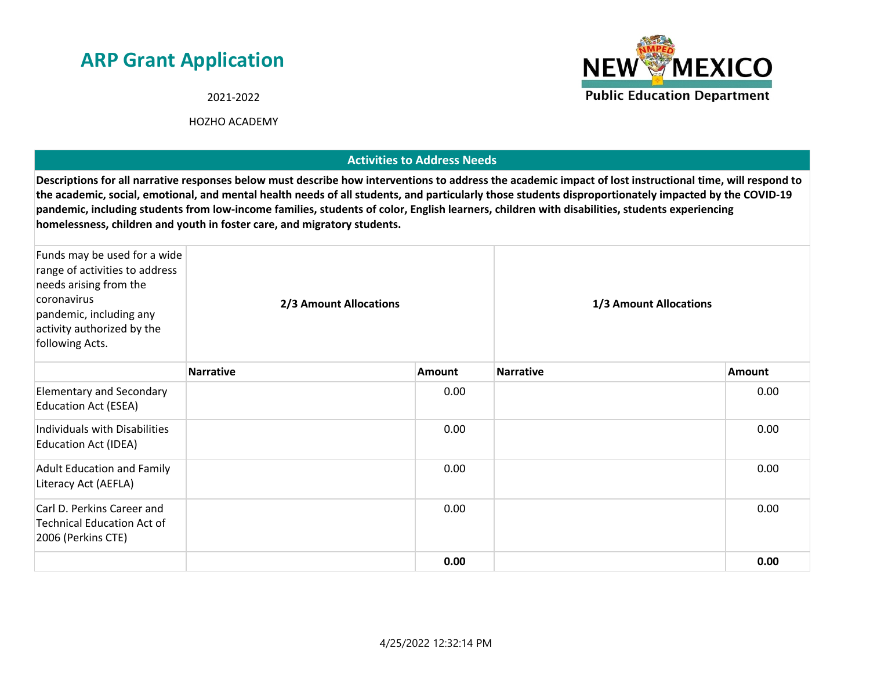2021-2022

HOZHO ACADEMY

### **Activities to Address Needs**

**Descriptions for all narrative responses below must describe how interventions to address the academic impact of lost instructional time, will respond to the academic, social, emotional, and mental health needs of all students, and particularly those students disproportionately impacted by the COVID-19 pandemic, including students from low-income families, students of color, English learners, children with disabilities, students experiencing homelessness, children and youth in foster care, and migratory students.**

| Funds may be used for a wide<br>range of activities to address<br>needs arising from the<br>coronavirus<br>pandemic, including any<br>activity authorized by the<br>following Acts. | 2/3 Amount Allocations |               | 1/3 Amount Allocations |        |
|-------------------------------------------------------------------------------------------------------------------------------------------------------------------------------------|------------------------|---------------|------------------------|--------|
|                                                                                                                                                                                     | <b>Narrative</b>       | <b>Amount</b> | <b>Narrative</b>       | Amount |
| <b>Elementary and Secondary</b><br><b>Education Act (ESEA)</b>                                                                                                                      |                        | 0.00          |                        | 0.00   |
| Individuals with Disabilities<br><b>Education Act (IDEA)</b>                                                                                                                        |                        | 0.00          |                        | 0.00   |
| <b>Adult Education and Family</b><br>Literacy Act (AEFLA)                                                                                                                           |                        | 0.00          |                        | 0.00   |
| Carl D. Perkins Career and<br><b>Technical Education Act of</b><br>2006 (Perkins CTE)                                                                                               |                        | 0.00          |                        | 0.00   |
|                                                                                                                                                                                     |                        | 0.00          |                        | 0.00   |

4/25/2022 12:32:14 PM

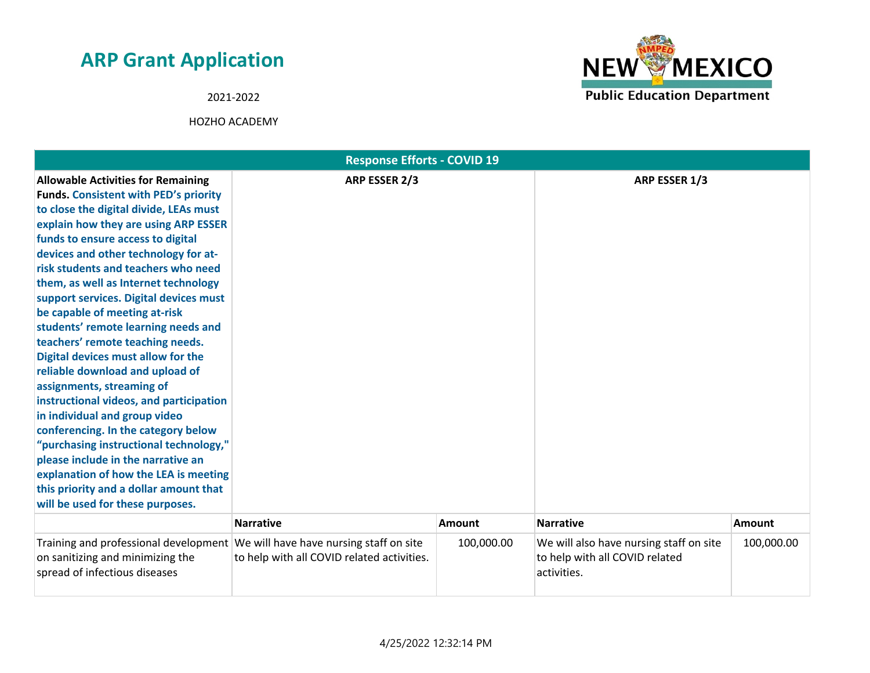2021-2022



| <b>Response Efforts - COVID 19</b>                                                                                                                                                                                                                                                                                                                                                                                                                                                                                                                                                                                                                                                                                                                                                                                                                                                                                            |                                            |               |                                                                                          |               |
|-------------------------------------------------------------------------------------------------------------------------------------------------------------------------------------------------------------------------------------------------------------------------------------------------------------------------------------------------------------------------------------------------------------------------------------------------------------------------------------------------------------------------------------------------------------------------------------------------------------------------------------------------------------------------------------------------------------------------------------------------------------------------------------------------------------------------------------------------------------------------------------------------------------------------------|--------------------------------------------|---------------|------------------------------------------------------------------------------------------|---------------|
| <b>Allowable Activities for Remaining</b><br><b>Funds. Consistent with PED's priority</b><br>to close the digital divide, LEAs must<br>explain how they are using ARP ESSER<br>funds to ensure access to digital<br>devices and other technology for at-<br>risk students and teachers who need<br>them, as well as Internet technology<br>support services. Digital devices must<br>be capable of meeting at-risk<br>students' remote learning needs and<br>teachers' remote teaching needs.<br>Digital devices must allow for the<br>reliable download and upload of<br>assignments, streaming of<br>instructional videos, and participation<br>in individual and group video<br>conferencing. In the category below<br>"purchasing instructional technology,"<br>please include in the narrative an<br>explanation of how the LEA is meeting<br>this priority and a dollar amount that<br>will be used for these purposes. | ARP ESSER 2/3                              |               | ARP ESSER 1/3                                                                            |               |
|                                                                                                                                                                                                                                                                                                                                                                                                                                                                                                                                                                                                                                                                                                                                                                                                                                                                                                                               | <b>Narrative</b>                           | <b>Amount</b> | <b>Narrative</b>                                                                         | <b>Amount</b> |
| Training and professional development   We will have have nursing staff on site<br>on sanitizing and minimizing the<br>spread of infectious diseases                                                                                                                                                                                                                                                                                                                                                                                                                                                                                                                                                                                                                                                                                                                                                                          | to help with all COVID related activities. | 100,000.00    | We will also have nursing staff on site<br>to help with all COVID related<br>activities. | 100,000.00    |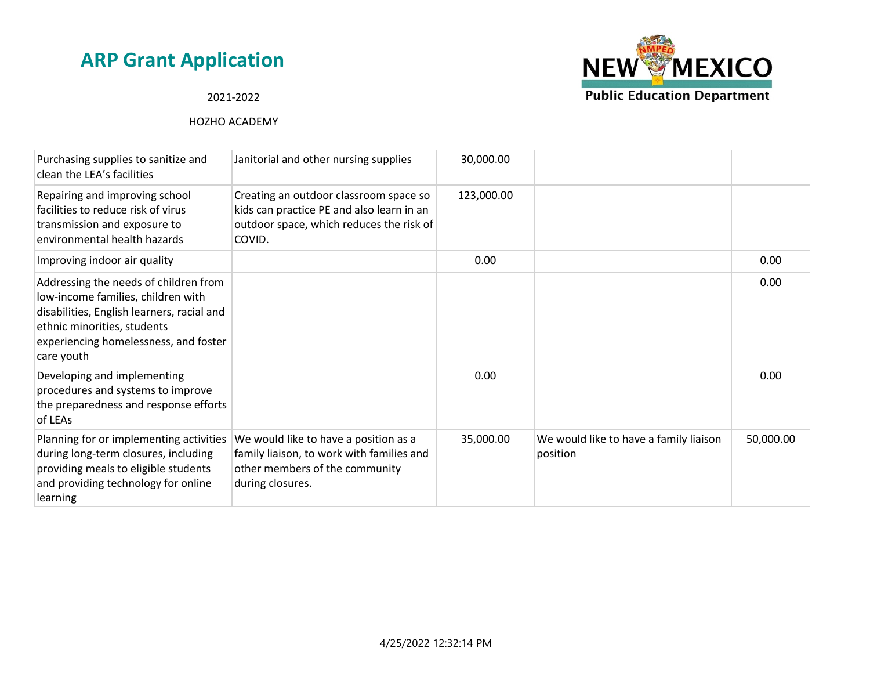# **NEW MEXICO Public Education Department**

### 2021-2022

| Purchasing supplies to sanitize and<br>clean the LEA's facilities                                                                                                                                               | Janitorial and other nursing supplies                                                                                                     | 30,000.00  |                                                    |           |
|-----------------------------------------------------------------------------------------------------------------------------------------------------------------------------------------------------------------|-------------------------------------------------------------------------------------------------------------------------------------------|------------|----------------------------------------------------|-----------|
| Repairing and improving school<br>facilities to reduce risk of virus<br>transmission and exposure to<br>environmental health hazards                                                                            | Creating an outdoor classroom space so<br>kids can practice PE and also learn in an<br>outdoor space, which reduces the risk of<br>COVID. | 123,000.00 |                                                    |           |
| Improving indoor air quality                                                                                                                                                                                    |                                                                                                                                           | 0.00       |                                                    | 0.00      |
| Addressing the needs of children from<br>low-income families, children with<br>disabilities, English learners, racial and<br>ethnic minorities, students<br>experiencing homelessness, and foster<br>care youth |                                                                                                                                           |            |                                                    | 0.00      |
| Developing and implementing<br>procedures and systems to improve<br>the preparedness and response efforts<br>of LEAs                                                                                            |                                                                                                                                           | 0.00       |                                                    | 0.00      |
| Planning for or implementing activities<br>during long-term closures, including<br>providing meals to eligible students<br>and providing technology for online<br>learning                                      | We would like to have a position as a<br>family liaison, to work with families and<br>other members of the community<br>during closures.  | 35,000.00  | We would like to have a family liaison<br>position | 50,000.00 |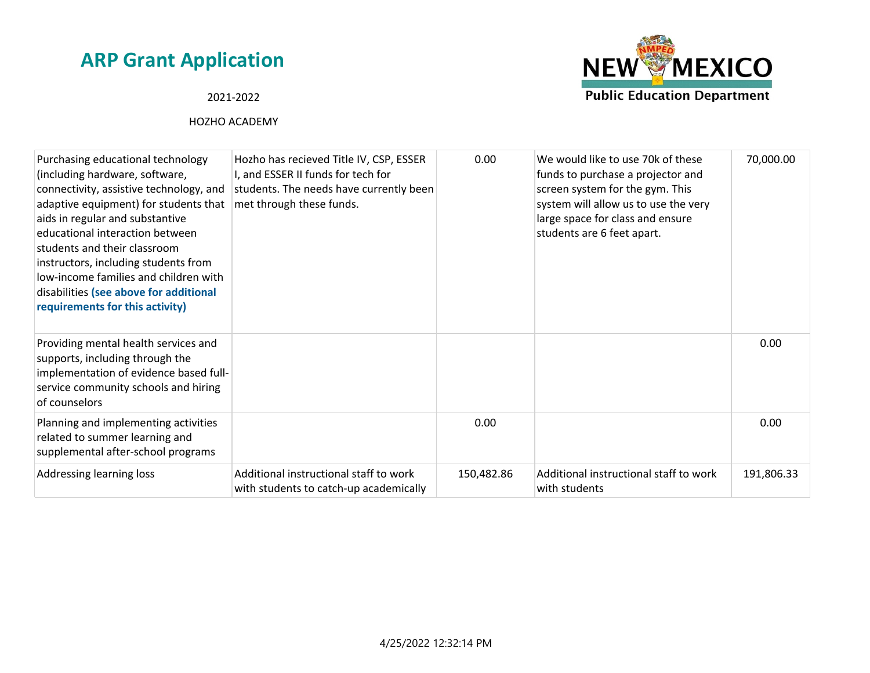# **NEW MEXICO Public Education Department**

### 2021-2022

| Purchasing educational technology<br>(including hardware, software,<br>connectivity, assistive technology, and<br>adaptive equipment) for students that<br>aids in regular and substantive<br>educational interaction between<br>students and their classroom<br>instructors, including students from<br>low-income families and children with<br>disabilities (see above for additional<br>requirements for this activity) | Hozho has recieved Title IV, CSP, ESSER<br>I, and ESSER II funds for tech for<br>students. The needs have currently been<br>met through these funds. | 0.00       | We would like to use 70k of these<br>funds to purchase a projector and<br>screen system for the gym. This<br>system will allow us to use the very<br>large space for class and ensure<br>students are 6 feet apart. | 70,000.00  |
|-----------------------------------------------------------------------------------------------------------------------------------------------------------------------------------------------------------------------------------------------------------------------------------------------------------------------------------------------------------------------------------------------------------------------------|------------------------------------------------------------------------------------------------------------------------------------------------------|------------|---------------------------------------------------------------------------------------------------------------------------------------------------------------------------------------------------------------------|------------|
| Providing mental health services and<br>supports, including through the<br>implementation of evidence based full-<br>service community schools and hiring<br>of counselors                                                                                                                                                                                                                                                  |                                                                                                                                                      |            |                                                                                                                                                                                                                     | 0.00       |
| Planning and implementing activities<br>related to summer learning and<br>supplemental after-school programs                                                                                                                                                                                                                                                                                                                |                                                                                                                                                      | 0.00       |                                                                                                                                                                                                                     | 0.00       |
| Addressing learning loss                                                                                                                                                                                                                                                                                                                                                                                                    | Additional instructional staff to work<br>with students to catch-up academically                                                                     | 150,482.86 | Additional instructional staff to work<br>with students                                                                                                                                                             | 191,806.33 |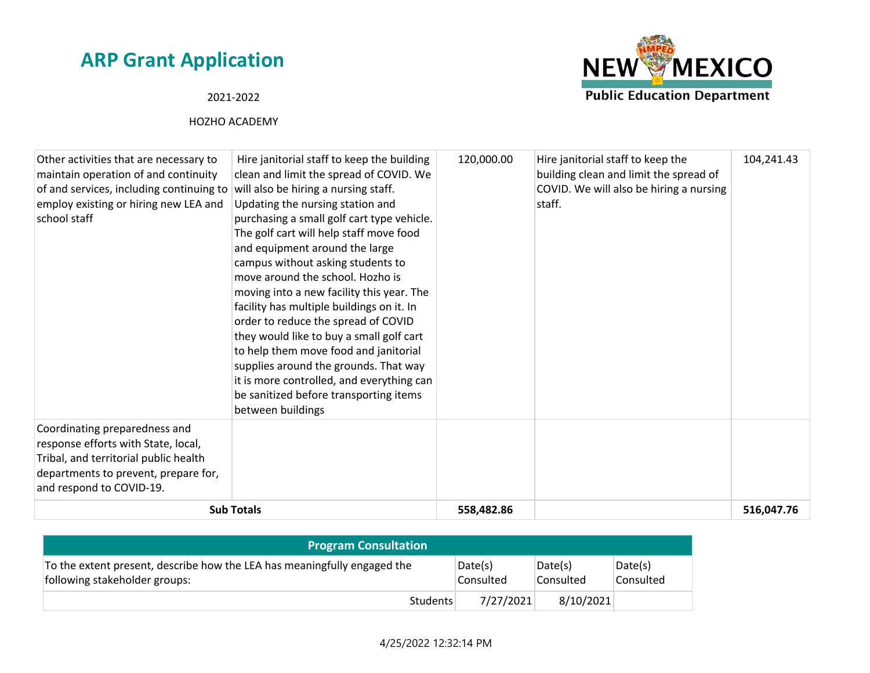### 2021-2022



| Other activities that are necessary to<br>maintain operation of and continuity<br>of and services, including continuing to<br>employ existing or hiring new LEA and<br>school staff | Hire janitorial staff to keep the building<br>clean and limit the spread of COVID. We<br>will also be hiring a nursing staff.<br>Updating the nursing station and<br>purchasing a small golf cart type vehicle.<br>The golf cart will help staff move food<br>and equipment around the large<br>campus without asking students to<br>move around the school. Hozho is<br>moving into a new facility this year. The<br>facility has multiple buildings on it. In<br>order to reduce the spread of COVID<br>they would like to buy a small golf cart<br>to help them move food and janitorial<br>supplies around the grounds. That way<br>it is more controlled, and everything can<br>be sanitized before transporting items<br>between buildings | 120,000.00 | Hire janitorial staff to keep the<br>building clean and limit the spread of<br>COVID. We will also be hiring a nursing<br>staff. | 104,241.43 |
|-------------------------------------------------------------------------------------------------------------------------------------------------------------------------------------|--------------------------------------------------------------------------------------------------------------------------------------------------------------------------------------------------------------------------------------------------------------------------------------------------------------------------------------------------------------------------------------------------------------------------------------------------------------------------------------------------------------------------------------------------------------------------------------------------------------------------------------------------------------------------------------------------------------------------------------------------|------------|----------------------------------------------------------------------------------------------------------------------------------|------------|
| Coordinating preparedness and<br>response efforts with State, local,<br>Tribal, and territorial public health<br>departments to prevent, prepare for,<br>and respond to COVID-19.   |                                                                                                                                                                                                                                                                                                                                                                                                                                                                                                                                                                                                                                                                                                                                                  |            |                                                                                                                                  |            |
|                                                                                                                                                                                     | <b>Sub Totals</b>                                                                                                                                                                                                                                                                                                                                                                                                                                                                                                                                                                                                                                                                                                                                | 558,482.86 |                                                                                                                                  | 516,047.76 |

| <b>Program Consultation</b>                                                                               |                      |                      |                      |
|-----------------------------------------------------------------------------------------------------------|----------------------|----------------------|----------------------|
| To the extent present, describe how the LEA has meaningfully engaged the<br>following stakeholder groups: | Date(s)<br>Consulted | Date(s)<br>Consulted | Date(s)<br>Consulted |
| Students                                                                                                  | 7/27/2021            | 8/10/2021            |                      |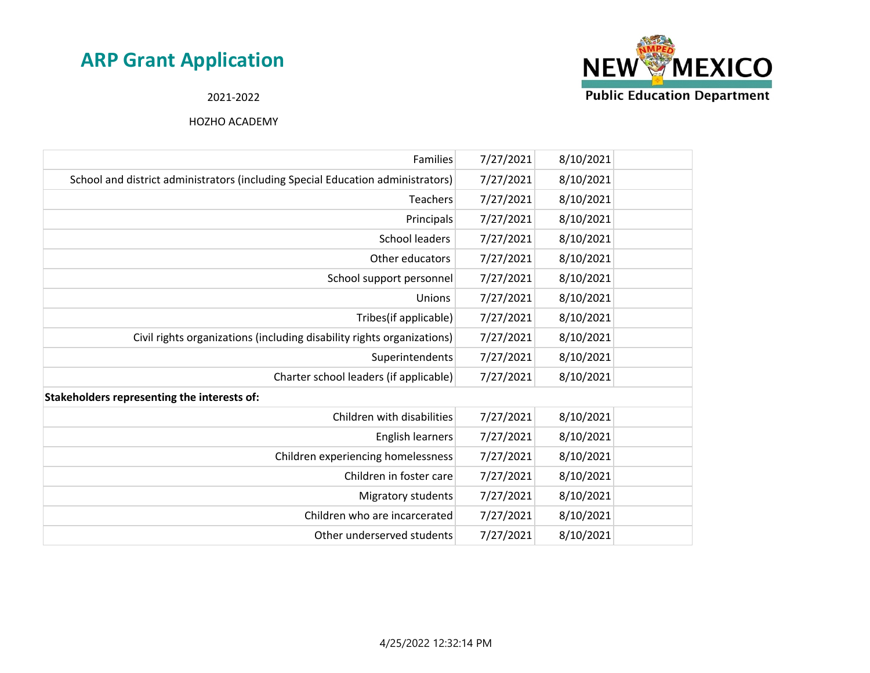

2021-2022

| Families                                                                        | 7/27/2021 | 8/10/2021 |  |
|---------------------------------------------------------------------------------|-----------|-----------|--|
| School and district administrators (including Special Education administrators) | 7/27/2021 | 8/10/2021 |  |
| <b>Teachers</b>                                                                 | 7/27/2021 | 8/10/2021 |  |
| Principals                                                                      | 7/27/2021 | 8/10/2021 |  |
| <b>School leaders</b>                                                           | 7/27/2021 | 8/10/2021 |  |
| Other educators                                                                 | 7/27/2021 | 8/10/2021 |  |
| School support personnel                                                        | 7/27/2021 | 8/10/2021 |  |
| Unions                                                                          | 7/27/2021 | 8/10/2021 |  |
| Tribes(if applicable)                                                           | 7/27/2021 | 8/10/2021 |  |
| Civil rights organizations (including disability rights organizations)          | 7/27/2021 | 8/10/2021 |  |
| Superintendents                                                                 | 7/27/2021 | 8/10/2021 |  |
| Charter school leaders (if applicable)                                          | 7/27/2021 | 8/10/2021 |  |
| Stakeholders representing the interests of:                                     |           |           |  |
| Children with disabilities                                                      | 7/27/2021 | 8/10/2021 |  |
| English learners                                                                | 7/27/2021 | 8/10/2021 |  |
| Children experiencing homelessness                                              | 7/27/2021 | 8/10/2021 |  |
| Children in foster care                                                         | 7/27/2021 | 8/10/2021 |  |
| Migratory students                                                              | 7/27/2021 | 8/10/2021 |  |
| Children who are incarcerated                                                   | 7/27/2021 | 8/10/2021 |  |
| Other underserved students                                                      | 7/27/2021 | 8/10/2021 |  |
|                                                                                 |           |           |  |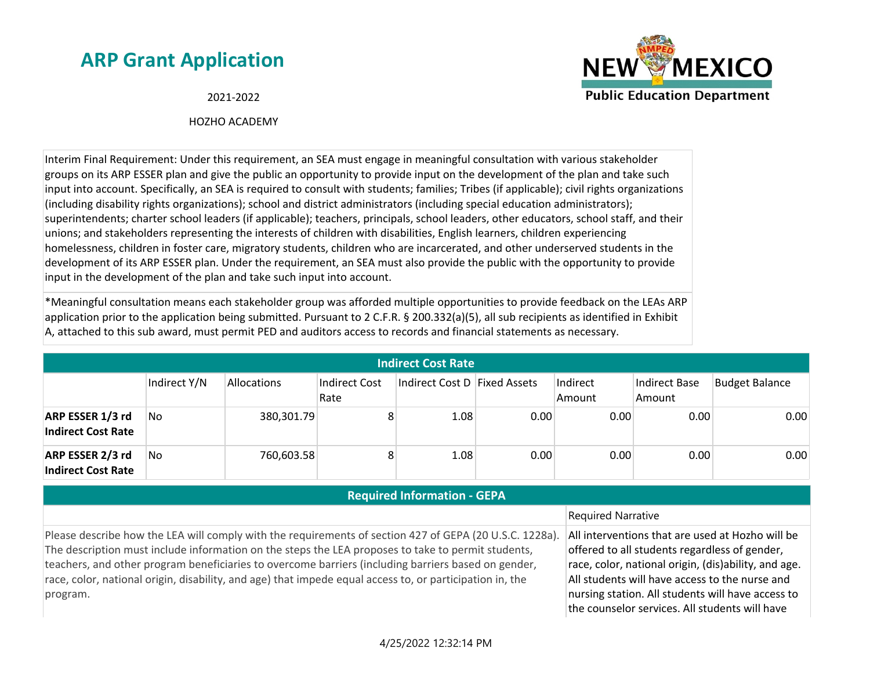

2021-2022

#### HOZHO ACADEMY

Interim Final Requirement: Under this requirement, an SEA must engage in meaningful consultation with various stakeholder groups on its ARP ESSER plan and give the public an opportunity to provide input on the development of the plan and take such input into account. Specifically, an SEA is required to consult with students; families; Tribes (if applicable); civil rights organizations (including disability rights organizations); school and district administrators (including special education administrators); superintendents; charter school leaders (if applicable); teachers, principals, school leaders, other educators, school staff, and their unions; and stakeholders representing the interests of children with disabilities, English learners, children experiencing homelessness, children in foster care, migratory students, children who are incarcerated, and other underserved students in the development of its ARP ESSER plan. Under the requirement, an SEA must also provide the public with the opportunity to provide input in the development of the plan and take such input into account.

\*Meaningful consultation means each stakeholder group was afforded multiple opportunities to provide feedback on the LEAs ARP application prior to the application being submitted. Pursuant to 2 C.F.R. § 200.332(a)(5), all sub recipients as identified in Exhibit A, attached to this sub award, must permit PED and auditors access to records and financial statements as necessary.

| <b>Indirect Cost Rate</b>                     |              |                    |                       |                              |      |                    |                         |                       |
|-----------------------------------------------|--------------|--------------------|-----------------------|------------------------------|------|--------------------|-------------------------|-----------------------|
|                                               | Indirect Y/N | <b>Allocations</b> | Indirect Cost<br>Rate | Indirect Cost D Fixed Assets |      | Indirect<br>Amount | Indirect Base<br>Amount | <b>Budget Balance</b> |
| ARP ESSER 1/3 rd<br><b>Indirect Cost Rate</b> | No           | 380,301.79         |                       | 1.08                         | 0.00 | 0.00               | 0.00                    | 0.00                  |
| ARP ESSER 2/3 rd<br><b>Indirect Cost Rate</b> | No           | 760,603.58         |                       | 1.08                         | 0.00 | 0.00               | 0.00                    | 0.00                  |

### **Required Information - GEPA**

#### Required Narrative

Please describe how the LEA will comply with the requirements of section 427 of GEPA (20 U.S.C. 1228a). The description must include information on the steps the LEA proposes to take to permit students, teachers, and other program beneficiaries to overcome barriers (including barriers based on gender, race, color, national origin, disability, and age) that impede equal access to, or participation in, the program.

All interventions that are used at Hozho will be offered to all students regardless of gender, race, color, national origin, (dis)ability, and age. All students will have access to the nurse and nursing station. All students will have access to the counselor services. All students will have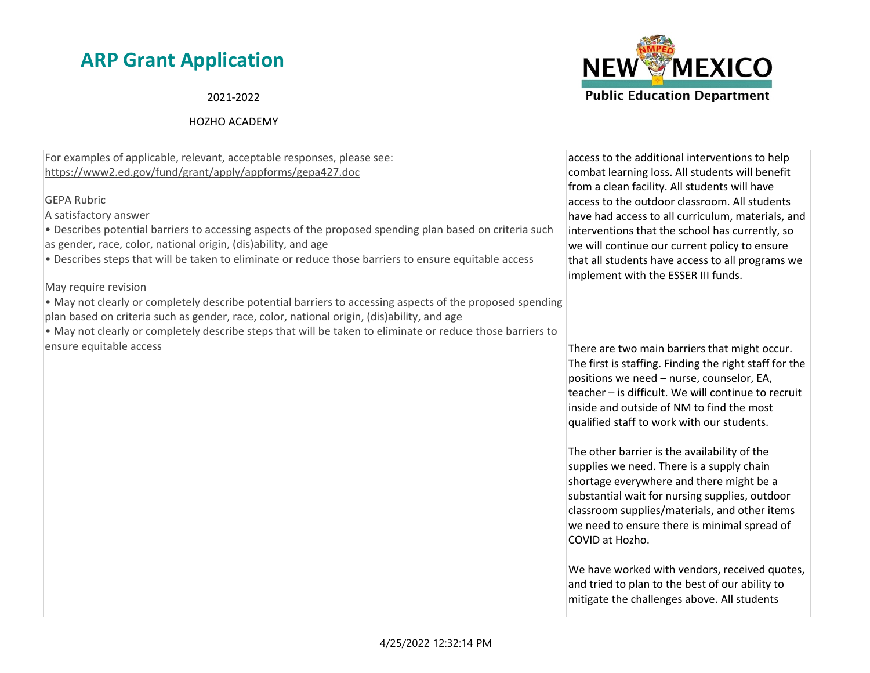2021-2022

#### HOZHO ACADEMY

For examples of applicable, relevant, acceptable responses, please see: https://www2.ed.gov/fund/grant/apply/appforms/gepa427.doc

#### GEPA Rubric

A satisfactory answer

• Describes potential barriers to accessing aspects of the proposed spending plan based on criteria such as gender, race, color, national origin, (dis)ability, and age

• Describes steps that will be taken to eliminate or reduce those barriers to ensure equitable access

May require revision

• May not clearly or completely describe potential barriers to accessing aspects of the proposed spending plan based on criteria such as gender, race, color, national origin, (dis)ability, and age

• May not clearly or completely describe steps that will be taken to eliminate or reduce those barriers to ensure equitable access



access to the additional interventions to help combat learning loss. All students will benefit from a clean facility. All students will have access to the outdoor classroom. All students have had access to all curriculum, materials, and interventions that the school has currently, so we will continue our current policy to ensure that all students have access to all programs we implement with the ESSER III funds.

There are two main barriers that might occur. The first is staffing. Finding the right staff for the positions we need – nurse, counselor, EA, teacher – is difficult. We will continue to recruit inside and outside of NM to find the most qualified staff to work with our students.

The other barrier is the availability of the supplies we need. There is a supply chain shortage everywhere and there might be a substantial wait for nursing supplies, outdoor classroom supplies/materials, and other items we need to ensure there is minimal spread of COVID at Hozho.

We have worked with vendors, received quotes, and tried to plan to the best of our ability to mitigate the challenges above. All students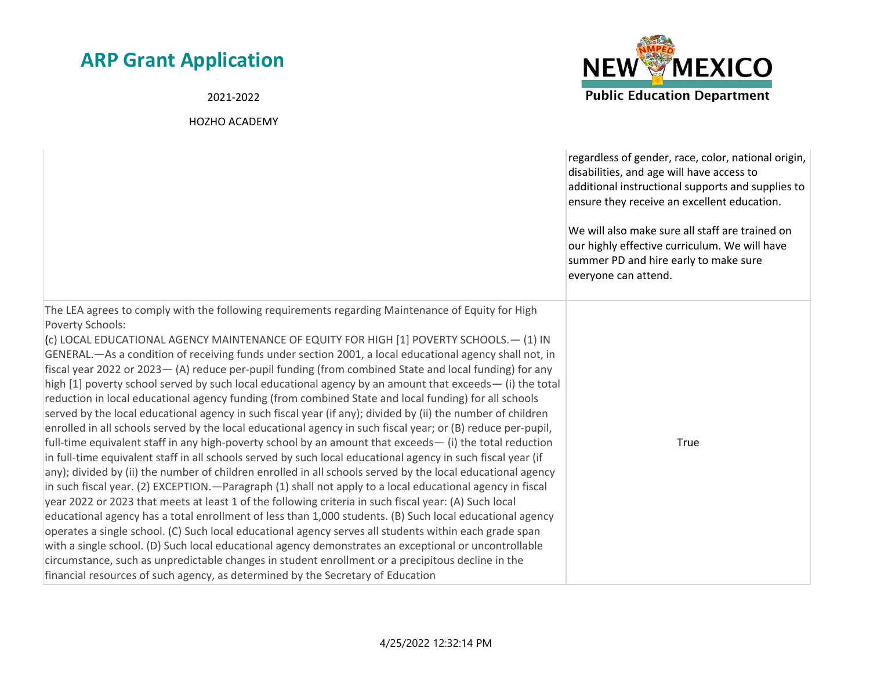2021-2022



|                                                                                                                                                                                                                                                                                                                                                                                                                                                                                                                                                                                                                                                                                                                                                                                                                                                                                                                                                                                                                                                                                                                                                                                                                                                                                                                                                                                                                                                                                                                                                                                                                                                                                                                                                                                                                                                                                                                                                                                                  | regardless of gender, race, color, national origin,<br>disabilities, and age will have access to<br>additional instructional supports and supplies to<br>ensure they receive an excellent education.<br>We will also make sure all staff are trained on<br>our highly effective curriculum. We will have<br>summer PD and hire early to make sure<br>everyone can attend. |
|--------------------------------------------------------------------------------------------------------------------------------------------------------------------------------------------------------------------------------------------------------------------------------------------------------------------------------------------------------------------------------------------------------------------------------------------------------------------------------------------------------------------------------------------------------------------------------------------------------------------------------------------------------------------------------------------------------------------------------------------------------------------------------------------------------------------------------------------------------------------------------------------------------------------------------------------------------------------------------------------------------------------------------------------------------------------------------------------------------------------------------------------------------------------------------------------------------------------------------------------------------------------------------------------------------------------------------------------------------------------------------------------------------------------------------------------------------------------------------------------------------------------------------------------------------------------------------------------------------------------------------------------------------------------------------------------------------------------------------------------------------------------------------------------------------------------------------------------------------------------------------------------------------------------------------------------------------------------------------------------------|---------------------------------------------------------------------------------------------------------------------------------------------------------------------------------------------------------------------------------------------------------------------------------------------------------------------------------------------------------------------------|
| The LEA agrees to comply with the following requirements regarding Maintenance of Equity for High<br><b>Poverty Schools:</b><br>(c) LOCAL EDUCATIONAL AGENCY MAINTENANCE OF EQUITY FOR HIGH [1] POVERTY SCHOOLS. - (1) IN<br>GENERAL.—As a condition of receiving funds under section 2001, a local educational agency shall not, in<br>fiscal year 2022 or 2023 - (A) reduce per-pupil funding (from combined State and local funding) for any<br>high [1] poverty school served by such local educational agency by an amount that exceeds— (i) the total<br>reduction in local educational agency funding (from combined State and local funding) for all schools<br>served by the local educational agency in such fiscal year (if any); divided by (ii) the number of children<br>enrolled in all schools served by the local educational agency in such fiscal year; or (B) reduce per-pupil,<br>full-time equivalent staff in any high-poverty school by an amount that exceeds $-$ (i) the total reduction<br>in full-time equivalent staff in all schools served by such local educational agency in such fiscal year (if<br>any); divided by (ii) the number of children enrolled in all schools served by the local educational agency<br>in such fiscal year. (2) EXCEPTION. — Paragraph (1) shall not apply to a local educational agency in fiscal<br>year 2022 or 2023 that meets at least 1 of the following criteria in such fiscal year: (A) Such local<br>educational agency has a total enrollment of less than 1,000 students. (B) Such local educational agency<br>operates a single school. (C) Such local educational agency serves all students within each grade span<br>with a single school. (D) Such local educational agency demonstrates an exceptional or uncontrollable<br>circumstance, such as unpredictable changes in student enrollment or a precipitous decline in the<br>financial resources of such agency, as determined by the Secretary of Education | True                                                                                                                                                                                                                                                                                                                                                                      |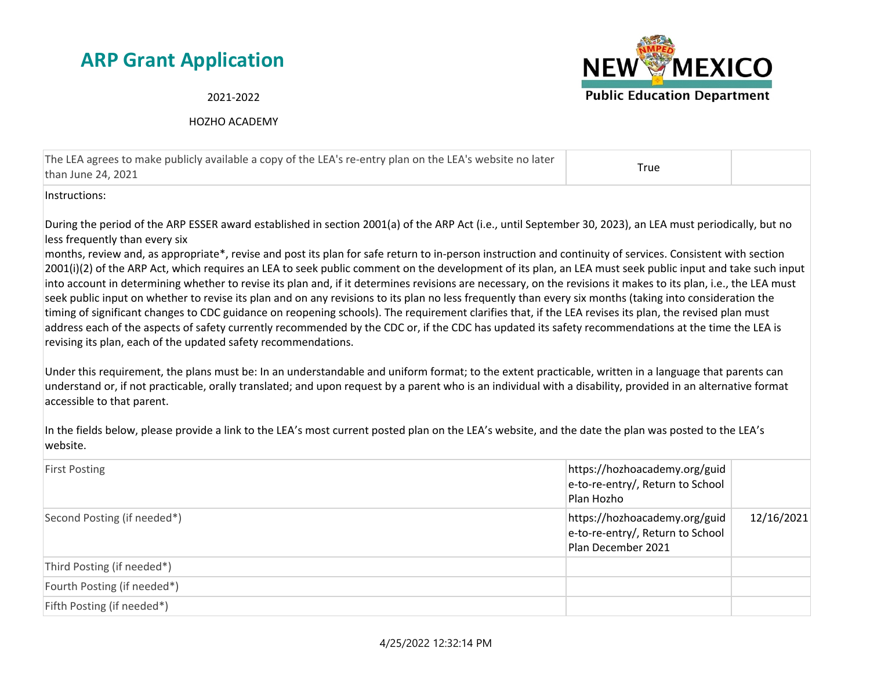

2021-2022

HOZHO ACADEMY

| The LEA agrees to make publicly available a copy of the LEA's re-entry plan on the LEA's website no later<br>than June 24, 2021 | True |  |
|---------------------------------------------------------------------------------------------------------------------------------|------|--|
|                                                                                                                                 |      |  |

Instructions:

During the period of the ARP ESSER award established in section 2001(a) of the ARP Act (i.e., until September 30, 2023), an LEA must periodically, but no less frequently than every six

months, review and, as appropriate\*, revise and post its plan for safe return to in-person instruction and continuity of services. Consistent with section 2001(i)(2) of the ARP Act, which requires an LEA to seek public comment on the development of its plan, an LEA must seek public input and take such input into account in determining whether to revise its plan and, if it determines revisions are necessary, on the revisions it makes to its plan, i.e., the LEA must seek public input on whether to revise its plan and on any revisions to its plan no less frequently than every six months (taking into consideration the timing of significant changes to CDC guidance on reopening schools). The requirement clarifies that, if the LEA revises its plan, the revised plan must address each of the aspects of safety currently recommended by the CDC or, if the CDC has updated its safety recommendations at the time the LEA is revising its plan, each of the updated safety recommendations.

Under this requirement, the plans must be: In an understandable and uniform format; to the extent practicable, written in a language that parents can understand or, if not practicable, orally translated; and upon request by a parent who is an individual with a disability, provided in an alternative format accessible to that parent.

In the fields below, please provide a link to the LEA's most current posted plan on the LEA's website, and the date the plan was posted to the LEA's website.

| <b>First Posting</b>        | https://hozhoacademy.org/guid<br>e-to-re-entry/, Return to School<br>Plan Hozho         |            |
|-----------------------------|-----------------------------------------------------------------------------------------|------------|
| Second Posting (if needed*) | https://hozhoacademy.org/guid<br>e-to-re-entry/, Return to School<br>Plan December 2021 | 12/16/2021 |
| Third Posting (if needed*)  |                                                                                         |            |
| Fourth Posting (if needed*) |                                                                                         |            |
| Fifth Posting (if needed*)  |                                                                                         |            |